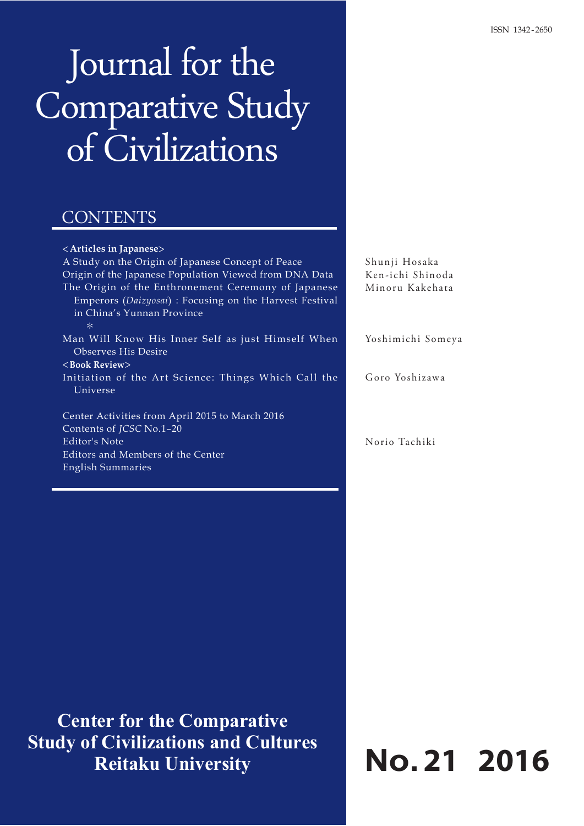# Journal for the Comparative Study of Civilizations

## CONTENTS

| <articles in="" japanese=""></articles>                                                                                                                |
|--------------------------------------------------------------------------------------------------------------------------------------------------------|
| A Study on the Origin of Japanese Concept of Peace                                                                                                     |
| Origin of the Japanese Population Viewed from DNA Data                                                                                                 |
| The Origin of the Enthronement Ceremony of Japanese<br>Emperors (Daizyosai) : Focusing on the Harvest Festival<br>in China's Yunnan Province<br>$\ast$ |
| Man Will Know His Inner Self as just Himself When                                                                                                      |
| Observes His Desire                                                                                                                                    |
| $\langle$ Book Review $\rangle$                                                                                                                        |
| Initiation of the Art Science: Things Which Call the<br>Universe                                                                                       |
| Center Activities from April 2015 to March 2016                                                                                                        |
| Contents of JCSC No.1-20                                                                                                                               |
| Editor's Note                                                                                                                                          |
| Editors and Members of the Center                                                                                                                      |
| English Summaries                                                                                                                                      |

**Center for the Comparative Study of Civilizations and Cultures Reitaku University**

**No.21 2016**

Shunji Hosaka Ken-ichi Shinoda Minoru Kakehata

Yoshimichi Someya

Goro Yoshizawa

Norio Tachiki